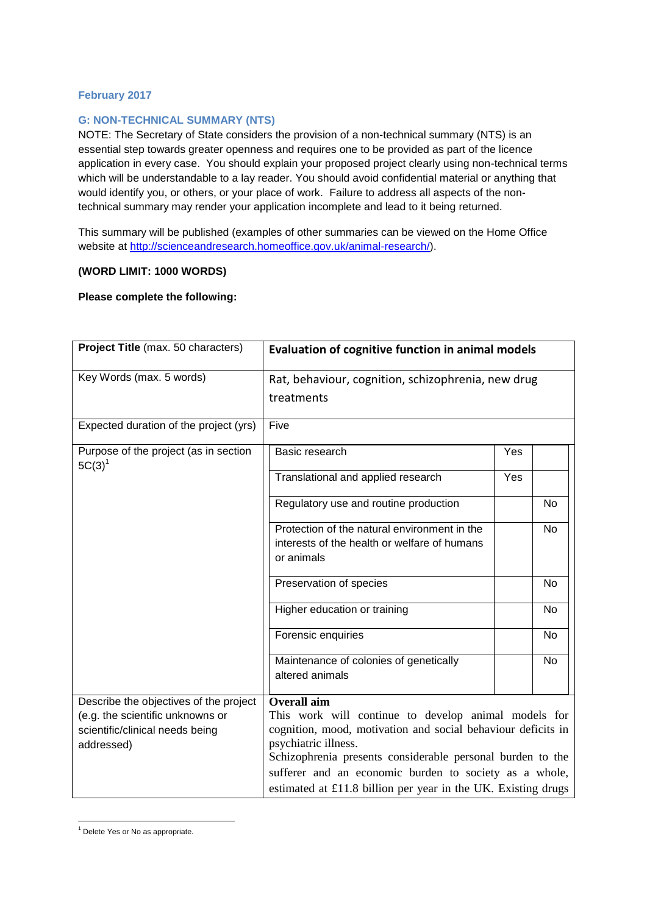## **February 2017**

## **G: NON-TECHNICAL SUMMARY (NTS)**

NOTE: The Secretary of State considers the provision of a non-technical summary (NTS) is an essential step towards greater openness and requires one to be provided as part of the licence application in every case. You should explain your proposed project clearly using non-technical terms which will be understandable to a lay reader. You should avoid confidential material or anything that would identify you, or others, or your place of work. Failure to address all aspects of the nontechnical summary may render your application incomplete and lead to it being returned.

This summary will be published (examples of other summaries can be viewed on the Home Office website at [http://scienceandresearch.homeoffice.gov.uk/animal-research/\)](http://scienceandresearch.homeoffice.gov.uk/animal-research/).

## **(WORD LIMIT: 1000 WORDS)**

## **Please complete the following:**

| Project Title (max. 50 characters)                                                | <b>Evaluation of cognitive function in animal models</b>                                                                                                                                                                                                                                                                              |     |           |
|-----------------------------------------------------------------------------------|---------------------------------------------------------------------------------------------------------------------------------------------------------------------------------------------------------------------------------------------------------------------------------------------------------------------------------------|-----|-----------|
| Key Words (max. 5 words)                                                          | Rat, behaviour, cognition, schizophrenia, new drug                                                                                                                                                                                                                                                                                    |     |           |
|                                                                                   | treatments                                                                                                                                                                                                                                                                                                                            |     |           |
| Expected duration of the project (yrs)                                            | Five                                                                                                                                                                                                                                                                                                                                  |     |           |
| Purpose of the project (as in section<br>$5C(3)^1$                                | Basic research                                                                                                                                                                                                                                                                                                                        | Yes |           |
|                                                                                   | Translational and applied research                                                                                                                                                                                                                                                                                                    | Yes |           |
|                                                                                   | Regulatory use and routine production                                                                                                                                                                                                                                                                                                 |     | <b>No</b> |
|                                                                                   | Protection of the natural environment in the<br>interests of the health or welfare of humans<br>or animals                                                                                                                                                                                                                            |     | <b>No</b> |
|                                                                                   | Preservation of species                                                                                                                                                                                                                                                                                                               |     | No        |
|                                                                                   | Higher education or training                                                                                                                                                                                                                                                                                                          |     | No        |
|                                                                                   | Forensic enquiries                                                                                                                                                                                                                                                                                                                    |     | No.       |
|                                                                                   | Maintenance of colonies of genetically<br>altered animals                                                                                                                                                                                                                                                                             |     | <b>No</b> |
| Describe the objectives of the project                                            | <b>Overall aim</b>                                                                                                                                                                                                                                                                                                                    |     |           |
| (e.g. the scientific unknowns or<br>scientific/clinical needs being<br>addressed) | This work will continue to develop animal models for<br>cognition, mood, motivation and social behaviour deficits in<br>psychiatric illness.<br>Schizophrenia presents considerable personal burden to the<br>sufferer and an economic burden to society as a whole,<br>estimated at £11.8 billion per year in the UK. Existing drugs |     |           |

**<sup>.</sup>** <sup>1</sup> Delete Yes or No as appropriate.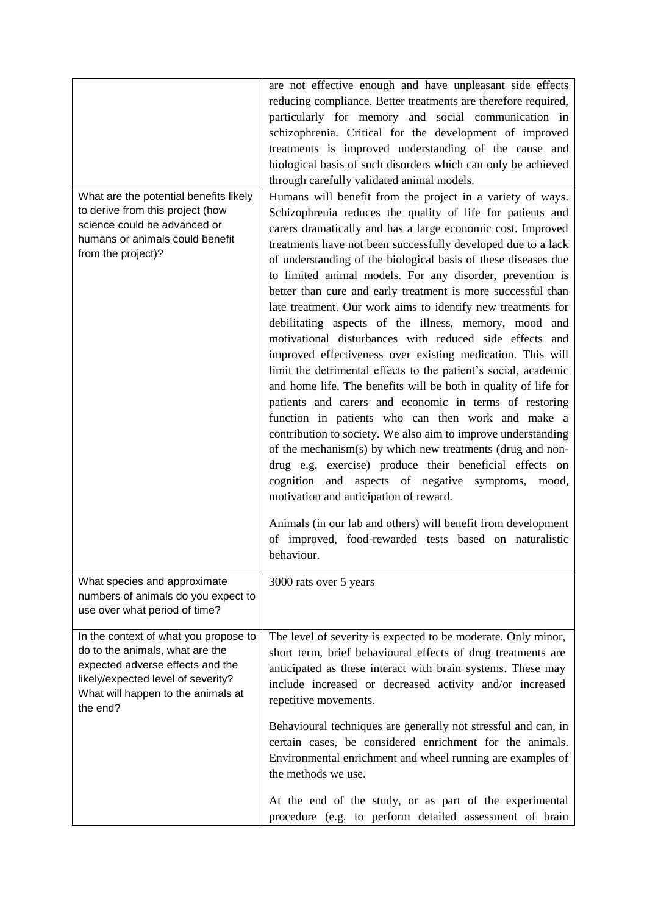| What are the potential benefits likely<br>to derive from this project (how<br>science could be advanced or<br>humans or animals could benefit<br>from the project)?                                  | are not effective enough and have unpleasant side effects<br>reducing compliance. Better treatments are therefore required,<br>particularly for memory and social communication in<br>schizophrenia. Critical for the development of improved<br>treatments is improved understanding of the cause and<br>biological basis of such disorders which can only be achieved<br>through carefully validated animal models.<br>Humans will benefit from the project in a variety of ways.<br>Schizophrenia reduces the quality of life for patients and<br>carers dramatically and has a large economic cost. Improved<br>treatments have not been successfully developed due to a lack<br>of understanding of the biological basis of these diseases due<br>to limited animal models. For any disorder, prevention is<br>better than cure and early treatment is more successful than<br>late treatment. Our work aims to identify new treatments for<br>debilitating aspects of the illness, memory, mood and<br>motivational disturbances with reduced side effects and<br>improved effectiveness over existing medication. This will<br>limit the detrimental effects to the patient's social, academic<br>and home life. The benefits will be both in quality of life for<br>patients and carers and economic in terms of restoring<br>function in patients who can then work and make a<br>contribution to society. We also aim to improve understanding<br>of the mechanism(s) by which new treatments (drug and non-<br>drug e.g. exercise) produce their beneficial effects on<br>aspects of negative<br>cognition<br>and<br>symptoms,<br>mood,<br>motivation and anticipation of reward.<br>Animals (in our lab and others) will benefit from development<br>of improved, food-rewarded tests based on naturalistic<br>behaviour. |
|------------------------------------------------------------------------------------------------------------------------------------------------------------------------------------------------------|---------------------------------------------------------------------------------------------------------------------------------------------------------------------------------------------------------------------------------------------------------------------------------------------------------------------------------------------------------------------------------------------------------------------------------------------------------------------------------------------------------------------------------------------------------------------------------------------------------------------------------------------------------------------------------------------------------------------------------------------------------------------------------------------------------------------------------------------------------------------------------------------------------------------------------------------------------------------------------------------------------------------------------------------------------------------------------------------------------------------------------------------------------------------------------------------------------------------------------------------------------------------------------------------------------------------------------------------------------------------------------------------------------------------------------------------------------------------------------------------------------------------------------------------------------------------------------------------------------------------------------------------------------------------------------------------------------------------------------------------------------------------------------------------------------------------------------------|
| What species and approximate<br>numbers of animals do you expect to<br>use over what period of time?                                                                                                 | 3000 rats over 5 years                                                                                                                                                                                                                                                                                                                                                                                                                                                                                                                                                                                                                                                                                                                                                                                                                                                                                                                                                                                                                                                                                                                                                                                                                                                                                                                                                                                                                                                                                                                                                                                                                                                                                                                                                                                                                |
| In the context of what you propose to<br>do to the animals, what are the<br>expected adverse effects and the<br>likely/expected level of severity?<br>What will happen to the animals at<br>the end? | The level of severity is expected to be moderate. Only minor,<br>short term, brief behavioural effects of drug treatments are<br>anticipated as these interact with brain systems. These may<br>include increased or decreased activity and/or increased<br>repetitive movements.                                                                                                                                                                                                                                                                                                                                                                                                                                                                                                                                                                                                                                                                                                                                                                                                                                                                                                                                                                                                                                                                                                                                                                                                                                                                                                                                                                                                                                                                                                                                                     |
|                                                                                                                                                                                                      | Behavioural techniques are generally not stressful and can, in<br>certain cases, be considered enrichment for the animals.<br>Environmental enrichment and wheel running are examples of<br>the methods we use.                                                                                                                                                                                                                                                                                                                                                                                                                                                                                                                                                                                                                                                                                                                                                                                                                                                                                                                                                                                                                                                                                                                                                                                                                                                                                                                                                                                                                                                                                                                                                                                                                       |
|                                                                                                                                                                                                      | At the end of the study, or as part of the experimental<br>procedure (e.g. to perform detailed assessment of brain                                                                                                                                                                                                                                                                                                                                                                                                                                                                                                                                                                                                                                                                                                                                                                                                                                                                                                                                                                                                                                                                                                                                                                                                                                                                                                                                                                                                                                                                                                                                                                                                                                                                                                                    |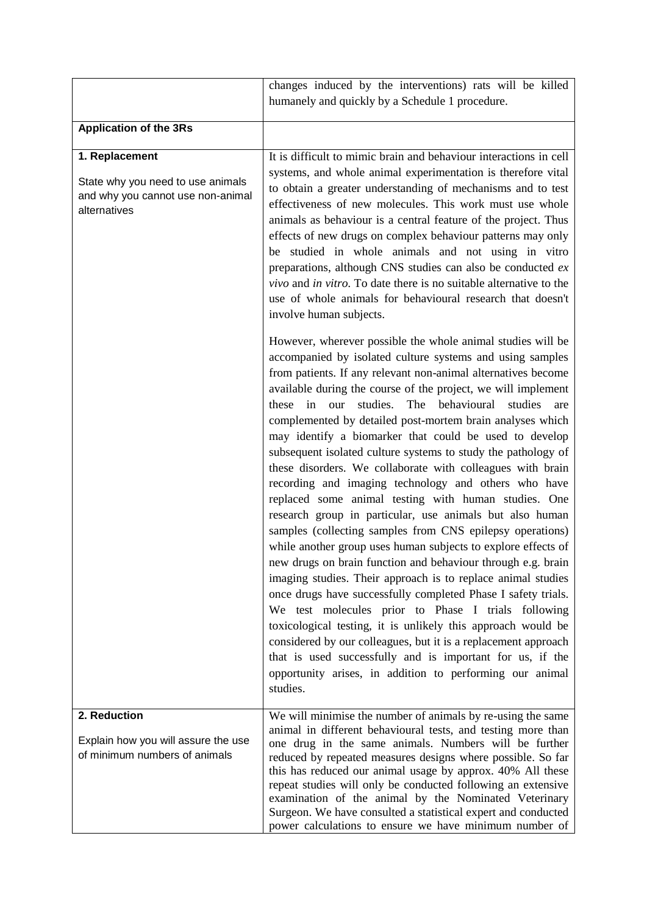|                                                                                                          | changes induced by the interventions) rats will be killed<br>humanely and quickly by a Schedule 1 procedure.                                                                                                                                                                                                                                                                                                                                                                                                                                                                                                                                                                                                                                                                                                                                                                                                                                                                                                                                                                                                                                                                                                                                                                                                                                                                                                                        |
|----------------------------------------------------------------------------------------------------------|-------------------------------------------------------------------------------------------------------------------------------------------------------------------------------------------------------------------------------------------------------------------------------------------------------------------------------------------------------------------------------------------------------------------------------------------------------------------------------------------------------------------------------------------------------------------------------------------------------------------------------------------------------------------------------------------------------------------------------------------------------------------------------------------------------------------------------------------------------------------------------------------------------------------------------------------------------------------------------------------------------------------------------------------------------------------------------------------------------------------------------------------------------------------------------------------------------------------------------------------------------------------------------------------------------------------------------------------------------------------------------------------------------------------------------------|
| <b>Application of the 3Rs</b>                                                                            |                                                                                                                                                                                                                                                                                                                                                                                                                                                                                                                                                                                                                                                                                                                                                                                                                                                                                                                                                                                                                                                                                                                                                                                                                                                                                                                                                                                                                                     |
| 1. Replacement<br>State why you need to use animals<br>and why you cannot use non-animal<br>alternatives | It is difficult to mimic brain and behaviour interactions in cell<br>systems, and whole animal experimentation is therefore vital<br>to obtain a greater understanding of mechanisms and to test<br>effectiveness of new molecules. This work must use whole<br>animals as behaviour is a central feature of the project. Thus<br>effects of new drugs on complex behaviour patterns may only<br>be studied in whole animals and not using in vitro<br>preparations, although CNS studies can also be conducted $ex$<br>vivo and in vitro. To date there is no suitable alternative to the<br>use of whole animals for behavioural research that doesn't<br>involve human subjects.                                                                                                                                                                                                                                                                                                                                                                                                                                                                                                                                                                                                                                                                                                                                                 |
|                                                                                                          | However, wherever possible the whole animal studies will be<br>accompanied by isolated culture systems and using samples<br>from patients. If any relevant non-animal alternatives become<br>available during the course of the project, we will implement<br>in<br>studies.<br>behavioural<br>these<br>The<br>studies<br>our<br>are<br>complemented by detailed post-mortem brain analyses which<br>may identify a biomarker that could be used to develop<br>subsequent isolated culture systems to study the pathology of<br>these disorders. We collaborate with colleagues with brain<br>recording and imaging technology and others who have<br>replaced some animal testing with human studies. One<br>research group in particular, use animals but also human<br>samples (collecting samples from CNS epilepsy operations)<br>while another group uses human subjects to explore effects of<br>new drugs on brain function and behaviour through e.g. brain<br>imaging studies. Their approach is to replace animal studies<br>once drugs have successfully completed Phase I safety trials.<br>We test molecules prior to Phase I trials following<br>toxicological testing, it is unlikely this approach would be<br>considered by our colleagues, but it is a replacement approach<br>that is used successfully and is important for us, if the<br>opportunity arises, in addition to performing our animal<br>studies. |
| 2. Reduction<br>Explain how you will assure the use<br>of minimum numbers of animals                     | We will minimise the number of animals by re-using the same<br>animal in different behavioural tests, and testing more than<br>one drug in the same animals. Numbers will be further<br>reduced by repeated measures designs where possible. So far<br>this has reduced our animal usage by approx. 40% All these<br>repeat studies will only be conducted following an extensive<br>examination of the animal by the Nominated Veterinary<br>Surgeon. We have consulted a statistical expert and conducted<br>power calculations to ensure we have minimum number of                                                                                                                                                                                                                                                                                                                                                                                                                                                                                                                                                                                                                                                                                                                                                                                                                                                               |